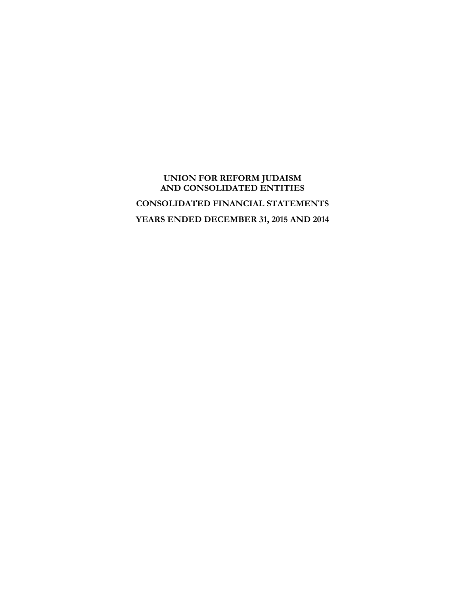# **UNION FOR REFORM JUDAISM AND CONSOLIDATED ENTITIES CONSOLIDATED FINANCIAL STATEMENTS YEARS ENDED DECEMBER 31, 2015 AND 2014**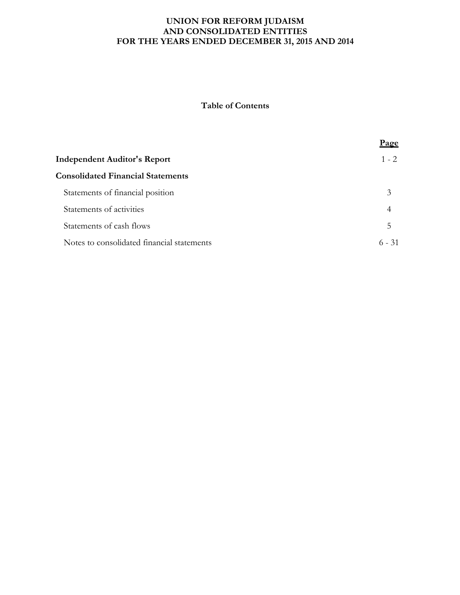### **UNION FOR REFORM JUDAISM AND CONSOLIDATED ENTITIES FOR THE YEARS ENDED DECEMBER 31, 2015 AND 2014**

# **Table of Contents**

|                                            | <u>Page</u> |
|--------------------------------------------|-------------|
| <b>Independent Auditor's Report</b>        | $1 - 2$     |
| <b>Consolidated Financial Statements</b>   |             |
| Statements of financial position           | 3           |
| Statements of activities                   | 4           |
| Statements of cash flows                   | 5           |
| Notes to consolidated financial statements | $6 - 31$    |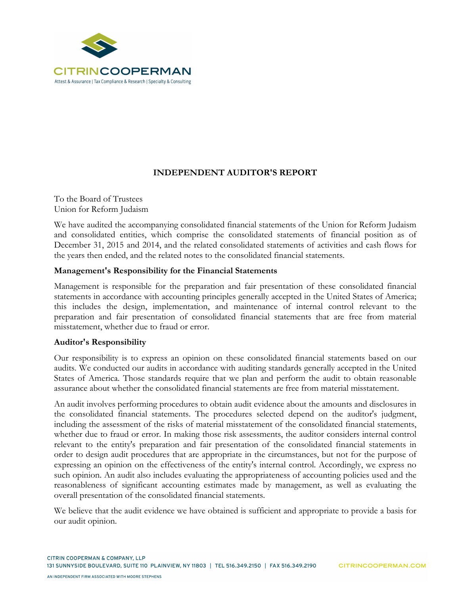

# **INDEPENDENT AUDITOR'S REPORT**

To the Board of Trustees Union for Reform Judaism

We have audited the accompanying consolidated financial statements of the Union for Reform Judaism and consolidated entities, which comprise the consolidated statements of financial position as of December 31, 2015 and 2014, and the related consolidated statements of activities and cash flows for the years then ended, and the related notes to the consolidated financial statements.

## **Management's Responsibility for the Financial Statements**

Management is responsible for the preparation and fair presentation of these consolidated financial statements in accordance with accounting principles generally accepted in the United States of America; this includes the design, implementation, and maintenance of internal control relevant to the preparation and fair presentation of consolidated financial statements that are free from material misstatement, whether due to fraud or error.

### **Auditor's Responsibility**

Our responsibility is to express an opinion on these consolidated financial statements based on our audits. We conducted our audits in accordance with auditing standards generally accepted in the United States of America. Those standards require that we plan and perform the audit to obtain reasonable assurance about whether the consolidated financial statements are free from material misstatement.

An audit involves performing procedures to obtain audit evidence about the amounts and disclosures in the consolidated financial statements. The procedures selected depend on the auditor's judgment, including the assessment of the risks of material misstatement of the consolidated financial statements, whether due to fraud or error. In making those risk assessments, the auditor considers internal control relevant to the entity's preparation and fair presentation of the consolidated financial statements in order to design audit procedures that are appropriate in the circumstances, but not for the purpose of expressing an opinion on the effectiveness of the entity's internal control. Accordingly, we express no such opinion. An audit also includes evaluating the appropriateness of accounting policies used and the reasonableness of significant accounting estimates made by management, as well as evaluating the overall presentation of the consolidated financial statements.

We believe that the audit evidence we have obtained is sufficient and appropriate to provide a basis for our audit opinion.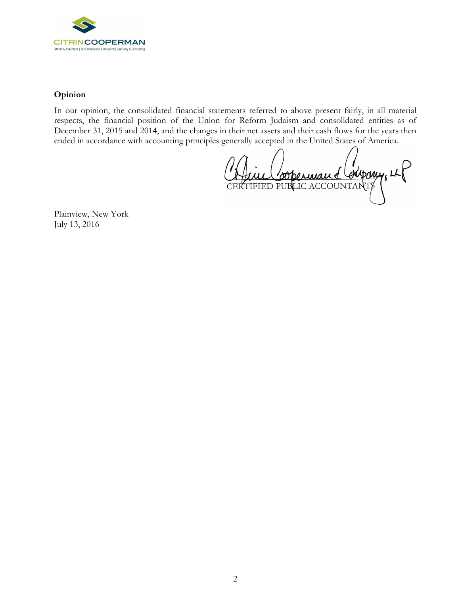

# **Opinion**

In our opinion, the consolidated financial statements referred to above present fairly, in all material respects, the financial position of the Union for Reform Judaism and consolidated entities as of December 31, 2015 and 2014, and the changes in their net assets and their cash flows for the years then ended in accordance with accounting principles generally accepted in the United States of America.

enspory, LLF CERTIFIED PUBLIC ACCOUNTANTS

Plainview, New York July 13, 2016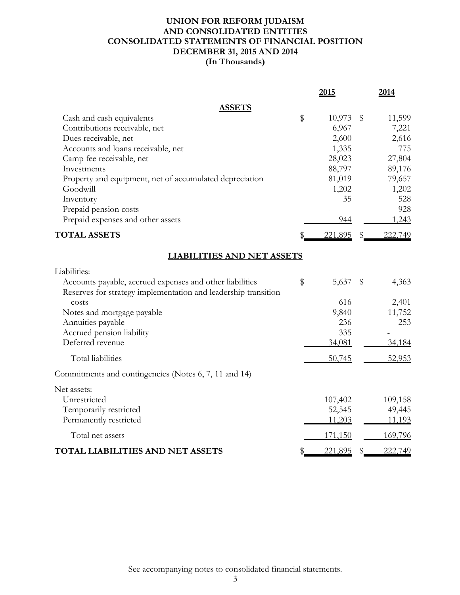# **UNION FOR REFORM JUDAISM AND CONSOLIDATED ENTITIES CONSOLIDATED STATEMENTS OF FINANCIAL POSITION DECEMBER 31, 2015 AND 2014 (In Thousands)**

|                                                                | 2015         |    | 2014    |
|----------------------------------------------------------------|--------------|----|---------|
| <b>ASSETS</b>                                                  |              |    |         |
| Cash and cash equivalents                                      | \$<br>10,973 | \$ | 11,599  |
| Contributions receivable, net                                  | 6,967        |    | 7,221   |
| Dues receivable, net                                           | 2,600        |    | 2,616   |
| Accounts and loans receivable, net                             | 1,335        |    | 775     |
| Camp fee receivable, net                                       | 28,023       |    | 27,804  |
| Investments                                                    | 88,797       |    | 89,176  |
| Property and equipment, net of accumulated depreciation        | 81,019       |    | 79,657  |
| Goodwill                                                       | 1,202        |    | 1,202   |
| Inventory                                                      | 35           |    | 528     |
| Prepaid pension costs                                          |              |    | 928     |
| Prepaid expenses and other assets                              | 944          |    | 1,243   |
| <b>TOTAL ASSETS</b>                                            | 221,895      |    | 222,749 |
| <b>LIABILITIES AND NET ASSETS</b>                              |              |    |         |
| Liabilities:                                                   |              |    |         |
| Accounts payable, accrued expenses and other liabilities       | \$<br>5,637  | S  | 4,363   |
| Reserves for strategy implementation and leadership transition |              |    |         |
| costs                                                          | 616          |    | 2,401   |
| Notes and mortgage payable                                     | 9,840        |    | 11,752  |
| Annuities payable                                              | 236          |    | 253     |
| Accrued pension liability                                      | 335          |    |         |
| Deferred revenue                                               | 34,081       |    | 34,184  |
| <b>Total liabilities</b>                                       | 50,745       |    | 52,953  |
| Commitments and contingencies (Notes 6, 7, 11 and 14)          |              |    |         |
| Net assets:                                                    |              |    |         |
| Unrestricted                                                   | 107,402      |    | 109,158 |
| Temporarily restricted                                         | 52,545       |    | 49,445  |
| Permanently restricted                                         | 11,203       |    | 11,193  |
| Total net assets                                               | 171,150      |    | 169,796 |
| TOTAL LIABILITIES AND NET ASSETS                               | 221,895      | \$ | 222,749 |

See accompanying notes to consolidated financial statements.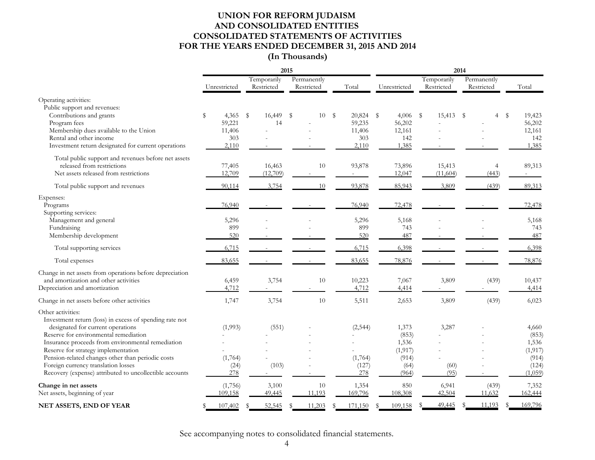# **UNION FOR REFORM JUDAISM AND CONSOLIDATED ENTITIES CONSOLIDATED STATEMENTS OF ACTIVITIES FOR THE YEARS ENDED DECEMBER 31, 2015 AND 2014**

# **(In Thousands)**

|                                                                                                                                                                                                                                                                                                                                                                                                               |                                                 |                              | 2015                      |                                                 | 2014                                                          |                           |                           |                                                                  |
|---------------------------------------------------------------------------------------------------------------------------------------------------------------------------------------------------------------------------------------------------------------------------------------------------------------------------------------------------------------------------------------------------------------|-------------------------------------------------|------------------------------|---------------------------|-------------------------------------------------|---------------------------------------------------------------|---------------------------|---------------------------|------------------------------------------------------------------|
|                                                                                                                                                                                                                                                                                                                                                                                                               | Unrestricted                                    | Temporarily<br>Restricted    | Permanently<br>Restricted | Total                                           | Unrestricted                                                  | Temporarily<br>Restricted | Permanently<br>Restricted | Total                                                            |
| Operating activities:<br>Public support and revenues:                                                                                                                                                                                                                                                                                                                                                         |                                                 |                              |                           |                                                 |                                                               |                           |                           |                                                                  |
| Contributions and grants<br>Program fees<br>Membership dues available to the Union<br>Rental and other income<br>Investment return designated for current operations                                                                                                                                                                                                                                          | \$<br>4,365<br>59,221<br>11,406<br>303<br>2,110 | $\mathbb{S}$<br>16,449<br>14 | \$<br>10                  | 20,824<br>S<br>59,235<br>11,406<br>303<br>2,110 | $\mathbb S$<br>4,006<br>56,202<br>12,161<br>142<br>1,385      | - \$<br>15,413            | $\mathbb S$<br>4          | \$<br>19,423<br>56,202<br>12,161<br>142<br>1,385                 |
| Total public support and revenues before net assets<br>released from restrictions<br>Net assets released from restrictions                                                                                                                                                                                                                                                                                    | 77,405<br>12,709                                | 16,463<br>(12,709)           | 10                        | 93,878                                          | 73,896<br>12,047                                              | 15,413<br>(11,604)        | 4<br>(443)                | 89,313                                                           |
| Total public support and revenues                                                                                                                                                                                                                                                                                                                                                                             | 90,114                                          | 3,754                        | 10                        | 93,878                                          | 85,943                                                        | 3,809                     | (439)                     | 89,313                                                           |
| Expenses:<br>Programs<br>Supporting services:                                                                                                                                                                                                                                                                                                                                                                 | 76,940                                          |                              |                           | 76,940                                          | 72,478                                                        |                           |                           | 72,478                                                           |
| Management and general<br>Fundraising<br>Membership development                                                                                                                                                                                                                                                                                                                                               | 5,296<br>899<br>520                             |                              |                           | 5,296<br>899<br>520                             | 5,168<br>743<br>487                                           |                           |                           | 5,168<br>743<br>487                                              |
| Total supporting services                                                                                                                                                                                                                                                                                                                                                                                     | 6,715                                           |                              |                           | 6,715                                           | 6,398                                                         |                           |                           | 6,398                                                            |
| Total expenses                                                                                                                                                                                                                                                                                                                                                                                                | 83,655                                          |                              |                           | 83,655                                          | 78,876                                                        |                           |                           | 78,876                                                           |
| Change in net assets from operations before depreciation<br>and amortization and other activities<br>Depreciation and amortization                                                                                                                                                                                                                                                                            | 6,459<br>4,712                                  | 3,754                        | 10                        | 10,223<br>4,712                                 | 7,067<br>4,414                                                | 3,809                     | (439)                     | 10,437<br>4,414                                                  |
| Change in net assets before other activities                                                                                                                                                                                                                                                                                                                                                                  | 1,747                                           | 3,754                        | 10                        | 5,511                                           | 2,653                                                         | 3,809                     | (439)                     | 6,023                                                            |
| Other activities:<br>Investment return (loss) in excess of spending rate not<br>designated for current operations<br>Reserve for environmental remediation<br>Insurance proceeds from environmental remediation<br>Reserve for strategy implementation<br>Pension-related changes other than periodic costs<br>Foreign currency translation losses<br>Recovery (expense) attributed to uncollectible accounts | (1,993)<br>(1,764)<br>(24)<br>278               | (551)<br>(103)               |                           | (2, 544)<br>(1,764)<br>(127)<br>278             | 1,373<br>(853)<br>1,536<br>(1, 917)<br>(914)<br>(64)<br>(964) | 3,287<br>(60)<br>(95)     |                           | 4,660<br>(853)<br>1,536<br>(1, 917)<br>(914)<br>(124)<br>(1,059) |
| Change in net assets<br>Net assets, beginning of year                                                                                                                                                                                                                                                                                                                                                         | (1,756)<br>109,158                              | 3,100<br>49,445              | 10<br>11,193              | 1,354<br>169,796                                | 850<br>108,308                                                | 6,941<br>42,504           | (439)<br>11,632           | 7,352<br>162,444                                                 |
| NET ASSETS, END OF YEAR                                                                                                                                                                                                                                                                                                                                                                                       | 107,402                                         | 52,545<br>$\mathcal{R}$      | 11,203<br>\$              | 171,150                                         | 109,158                                                       | 49,445                    | 11,193<br>£.              | 169,796                                                          |

See accompanying notes to consolidated financial statements.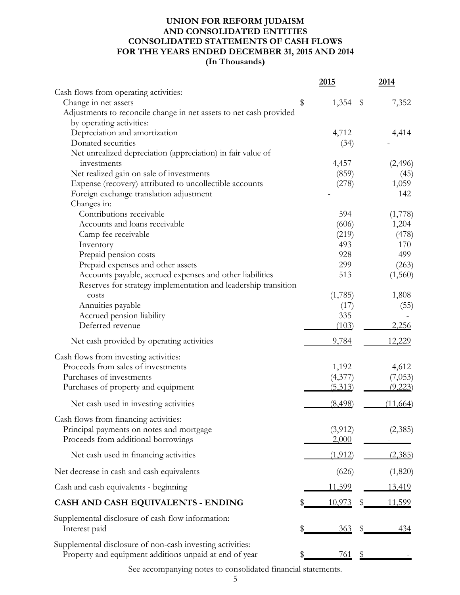# **UNION FOR REFORM JUDAISM AND CONSOLIDATED ENTITIES CONSOLIDATED STATEMENTS OF CASH FLOWS FOR THE YEARS ENDED DECEMBER 31, 2015 AND 2014 (In Thousands)**

|                                                                         | <u>2015</u>                            | 2014          |
|-------------------------------------------------------------------------|----------------------------------------|---------------|
| Cash flows from operating activities:                                   |                                        |               |
| Change in net assets                                                    | \$<br>1,354<br>$\sqrt[6]{\frac{1}{2}}$ | 7,352         |
| Adjustments to reconcile change in net assets to net cash provided      |                                        |               |
| by operating activities:                                                |                                        |               |
| Depreciation and amortization                                           | 4,712                                  | 4,414         |
| Donated securities                                                      | (34)                                   |               |
| Net unrealized depreciation (appreciation) in fair value of             |                                        |               |
| investments                                                             | 4,457                                  | (2, 496)      |
| Net realized gain on sale of investments                                | (859)                                  | (45)          |
| Expense (recovery) attributed to uncollectible accounts                 | (278)                                  | 1,059         |
| Foreign exchange translation adjustment                                 |                                        | 142           |
| Changes in:                                                             |                                        |               |
| Contributions receivable                                                | 594                                    | (1,778)       |
| Accounts and loans receivable                                           | (606)                                  | 1,204         |
| Camp fee receivable                                                     | (219)                                  | (478)         |
| Inventory                                                               | 493                                    | 170           |
| Prepaid pension costs                                                   | 928                                    | 499           |
| Prepaid expenses and other assets                                       | 299<br>513                             | (263)         |
| Accounts payable, accrued expenses and other liabilities                |                                        | (1,560)       |
| Reserves for strategy implementation and leadership transition<br>costs | (1,785)                                | 1,808         |
| Annuities payable                                                       |                                        |               |
| Accrued pension liability                                               | (17)<br>335                            | (55)          |
| Deferred revenue                                                        | (103)                                  | 2,256         |
|                                                                         |                                        |               |
| Net cash provided by operating activities                               | 9,784                                  | 12,229        |
| Cash flows from investing activities:                                   |                                        |               |
| Proceeds from sales of investments                                      | 1,192                                  | 4,612         |
| Purchases of investments                                                | (4,377)                                | (7,053)       |
| Purchases of property and equipment                                     | (5,313)                                | (9,223)       |
| Net cash used in investing activities                                   | (8, 498)                               | (11,664)      |
| Cash flows from financing activities:                                   |                                        |               |
| Principal payments on notes and mortgage                                | (3,912)                                | (2,385)       |
| Proceeds from additional borrowings                                     | 2,000                                  |               |
| Net cash used in financing activities                                   | (1,912)                                | (2,385)       |
| Net decrease in cash and cash equivalents                               | (626)                                  | (1,820)       |
| Cash and cash equivalents - beginning                                   | <u>11,599</u>                          | <u>13,419</u> |
| CASH AND CASH EQUIVALENTS - ENDING                                      | <u>10,973</u>                          | <u>11,599</u> |
|                                                                         |                                        |               |
| Supplemental disclosure of cash flow information:                       |                                        |               |
| Interest paid                                                           | <u>363</u>                             | 434           |
| Supplemental disclosure of non-cash investing activities:               |                                        |               |
| Property and equipment additions unpaid at end of year                  | 761                                    |               |

See accompanying notes to consolidated financial statements.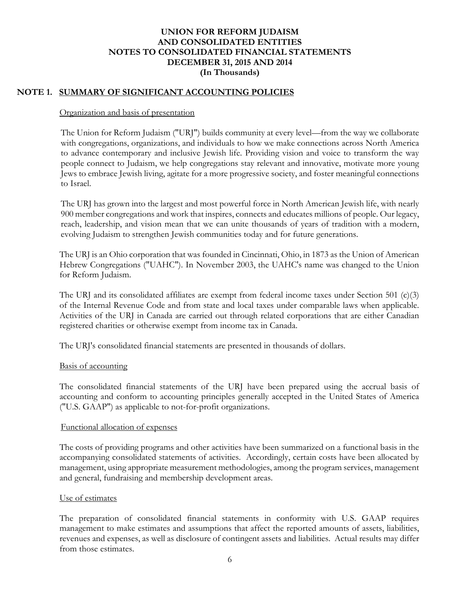# **NOTE 1. SUMMARY OF SIGNIFICANT ACCOUNTING POLICIES**

### Organization and basis of presentation

The Union for Reform Judaism ("URJ") builds community at every level—from the way we collaborate with congregations, organizations, and individuals to how we make connections across North America to advance contemporary and inclusive Jewish life. Providing vision and voice to transform the way people connect to Judaism, we help congregations stay relevant and innovative, motivate more young Jews to embrace Jewish living, agitate for a more progressive society, and foster meaningful connections to Israel.

The URJ has grown into the largest and most powerful force in North American Jewish life, with nearly 900 member congregations and work that inspires, connects and educates millions of people. Our legacy, reach, leadership, and vision mean that we can unite thousands of years of tradition with a modern, evolving Judaism to strengthen Jewish communities today and for future generations.

The URJ is an Ohio corporation that was founded in Cincinnati, Ohio, in 1873 as the Union of American Hebrew Congregations ("UAHC"). In November 2003, the UAHC's name was changed to the Union for Reform Judaism.

The URJ and its consolidated affiliates are exempt from federal income taxes under Section 501  $(c)(3)$ of the Internal Revenue Code and from state and local taxes under comparable laws when applicable. Activities of the URJ in Canada are carried out through related corporations that are either Canadian registered charities or otherwise exempt from income tax in Canada.

The URJ's consolidated financial statements are presented in thousands of dollars.

### Basis of accounting

The consolidated financial statements of the URJ have been prepared using the accrual basis of accounting and conform to accounting principles generally accepted in the United States of America ("U.S. GAAP") as applicable to not-for-profit organizations.

### Functional allocation of expenses

The costs of providing programs and other activities have been summarized on a functional basis in the accompanying consolidated statements of activities. Accordingly, certain costs have been allocated by management, using appropriate measurement methodologies, among the program services, management and general, fundraising and membership development areas.

### Use of estimates

The preparation of consolidated financial statements in conformity with U.S. GAAP requires management to make estimates and assumptions that affect the reported amounts of assets, liabilities, revenues and expenses, as well as disclosure of contingent assets and liabilities. Actual results may differ from those estimates.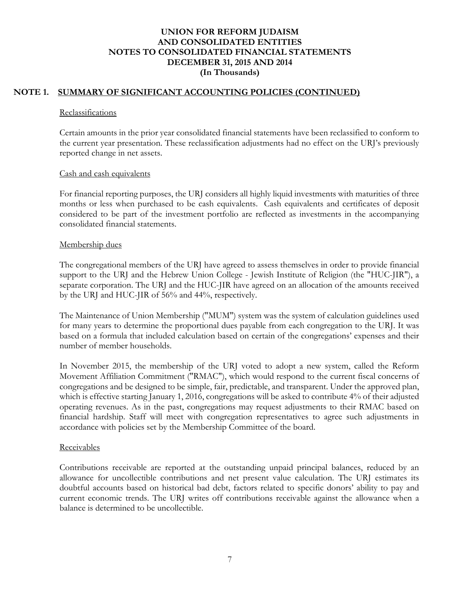# **NOTE 1. SUMMARY OF SIGNIFICANT ACCOUNTING POLICIES (CONTINUED)**

#### **Reclassifications**

Certain amounts in the prior year consolidated financial statements have been reclassified to conform to the current year presentation. These reclassification adjustments had no effect on the URJ's previously reported change in net assets.

### Cash and cash equivalents

For financial reporting purposes, the URJ considers all highly liquid investments with maturities of three months or less when purchased to be cash equivalents. Cash equivalents and certificates of deposit considered to be part of the investment portfolio are reflected as investments in the accompanying consolidated financial statements.

### Membership dues

The congregational members of the URJ have agreed to assess themselves in order to provide financial support to the URJ and the Hebrew Union College - Jewish Institute of Religion (the "HUC-JIR"), a separate corporation. The URJ and the HUC-JIR have agreed on an allocation of the amounts received by the URJ and HUC-JIR of 56% and 44%, respectively.

The Maintenance of Union Membership ("MUM") system was the system of calculation guidelines used for many years to determine the proportional dues payable from each congregation to the URJ. It was based on a formula that included calculation based on certain of the congregations' expenses and their number of member households.

In November 2015, the membership of the URJ voted to adopt a new system, called the Reform Movement Affiliation Commitment ("RMAC"), which would respond to the current fiscal concerns of congregations and be designed to be simple, fair, predictable, and transparent. Under the approved plan, which is effective starting January 1, 2016, congregations will be asked to contribute 4% of their adjusted operating revenues. As in the past, congregations may request adjustments to their RMAC based on financial hardship. Staff will meet with congregation representatives to agree such adjustments in accordance with policies set by the Membership Committee of the board.

## **Receivables**

Contributions receivable are reported at the outstanding unpaid principal balances, reduced by an allowance for uncollectible contributions and net present value calculation. The URJ estimates its doubtful accounts based on historical bad debt, factors related to specific donors' ability to pay and current economic trends. The URJ writes off contributions receivable against the allowance when a balance is determined to be uncollectible.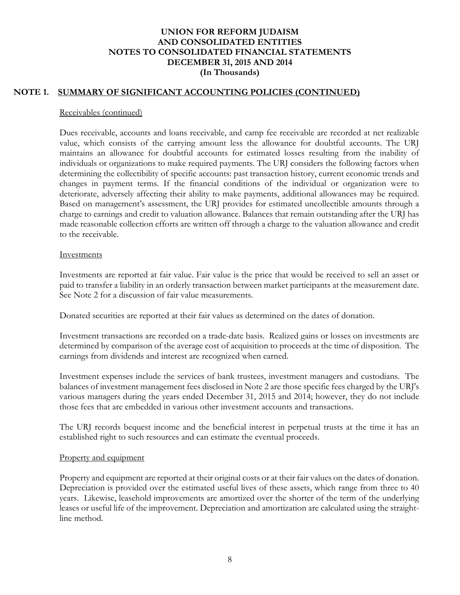### **NOTE 1. SUMMARY OF SIGNIFICANT ACCOUNTING POLICIES (CONTINUED)**

#### Receivables (continued)

Dues receivable, accounts and loans receivable, and camp fee receivable are recorded at net realizable value, which consists of the carrying amount less the allowance for doubtful accounts. The URJ maintains an allowance for doubtful accounts for estimated losses resulting from the inability of individuals or organizations to make required payments. The URJ considers the following factors when determining the collectibility of specific accounts: past transaction history, current economic trends and changes in payment terms. If the financial conditions of the individual or organization were to deteriorate, adversely affecting their ability to make payments, additional allowances may be required. Based on management's assessment, the URJ provides for estimated uncollectible amounts through a charge to earnings and credit to valuation allowance. Balances that remain outstanding after the URJ has made reasonable collection efforts are written off through a charge to the valuation allowance and credit to the receivable.

### **Investments**

Investments are reported at fair value. Fair value is the price that would be received to sell an asset or paid to transfer a liability in an orderly transaction between market participants at the measurement date. See Note 2 for a discussion of fair value measurements.

Donated securities are reported at their fair values as determined on the dates of donation.

Investment transactions are recorded on a trade-date basis. Realized gains or losses on investments are determined by comparison of the average cost of acquisition to proceeds at the time of disposition. The earnings from dividends and interest are recognized when earned.

Investment expenses include the services of bank trustees, investment managers and custodians. The balances of investment management fees disclosed in Note 2 are those specific fees charged by the URJ's various managers during the years ended December 31, 2015 and 2014; however, they do not include those fees that are embedded in various other investment accounts and transactions.

The URJ records bequest income and the beneficial interest in perpetual trusts at the time it has an established right to such resources and can estimate the eventual proceeds.

### Property and equipment

Property and equipment are reported at their original costs or at their fair values on the dates of donation. Depreciation is provided over the estimated useful lives of these assets, which range from three to 40 years. Likewise, leasehold improvements are amortized over the shorter of the term of the underlying leases or useful life of the improvement. Depreciation and amortization are calculated using the straightline method.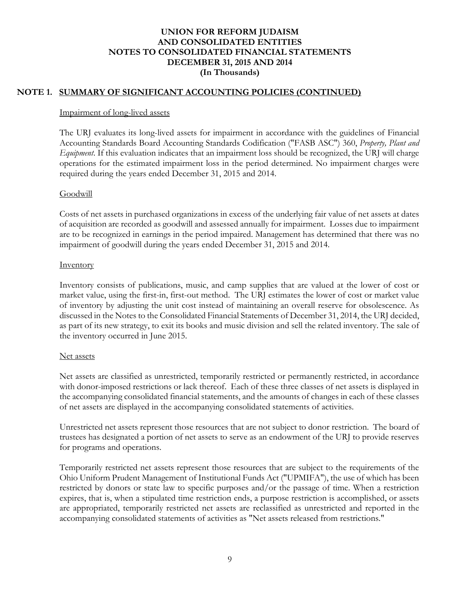# **NOTE 1. SUMMARY OF SIGNIFICANT ACCOUNTING POLICIES (CONTINUED)**

### Impairment of long-lived assets

The URJ evaluates its long-lived assets for impairment in accordance with the guidelines of Financial Accounting Standards Board Accounting Standards Codification ("FASB ASC") 360, *Property, Plant and Equipment*. If this evaluation indicates that an impairment loss should be recognized, the URJ will charge operations for the estimated impairment loss in the period determined. No impairment charges were required during the years ended December 31, 2015 and 2014.

## **Goodwill**

Costs of net assets in purchased organizations in excess of the underlying fair value of net assets at dates of acquisition are recorded as goodwill and assessed annually for impairment. Losses due to impairment are to be recognized in earnings in the period impaired. Management has determined that there was no impairment of goodwill during the years ended December 31, 2015 and 2014.

### **Inventory**

Inventory consists of publications, music, and camp supplies that are valued at the lower of cost or market value, using the first-in, first-out method. The URJ estimates the lower of cost or market value of inventory by adjusting the unit cost instead of maintaining an overall reserve for obsolescence. As discussed in the Notes to the Consolidated Financial Statements of December 31, 2014, the URJ decided, as part of its new strategy, to exit its books and music division and sell the related inventory. The sale of the inventory occurred in June 2015.

### Net assets

Net assets are classified as unrestricted, temporarily restricted or permanently restricted, in accordance with donor-imposed restrictions or lack thereof. Each of these three classes of net assets is displayed in the accompanying consolidated financial statements, and the amounts of changes in each of these classes of net assets are displayed in the accompanying consolidated statements of activities.

Unrestricted net assets represent those resources that are not subject to donor restriction. The board of trustees has designated a portion of net assets to serve as an endowment of the URJ to provide reserves for programs and operations.

Temporarily restricted net assets represent those resources that are subject to the requirements of the Ohio Uniform Prudent Management of Institutional Funds Act ("UPMIFA"), the use of which has been restricted by donors or state law to specific purposes and/or the passage of time. When a restriction expires, that is, when a stipulated time restriction ends, a purpose restriction is accomplished, or assets are appropriated, temporarily restricted net assets are reclassified as unrestricted and reported in the accompanying consolidated statements of activities as "Net assets released from restrictions."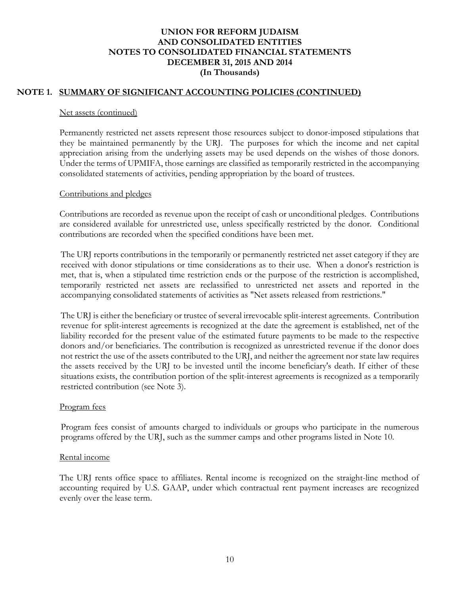# **NOTE 1. SUMMARY OF SIGNIFICANT ACCOUNTING POLICIES (CONTINUED)**

### Net assets (continued)

Permanently restricted net assets represent those resources subject to donor-imposed stipulations that they be maintained permanently by the URJ. The purposes for which the income and net capital appreciation arising from the underlying assets may be used depends on the wishes of those donors. Under the terms of UPMIFA, those earnings are classified as temporarily restricted in the accompanying consolidated statements of activities, pending appropriation by the board of trustees.

### Contributions and pledges

Contributions are recorded as revenue upon the receipt of cash or unconditional pledges. Contributions are considered available for unrestricted use, unless specifically restricted by the donor. Conditional contributions are recorded when the specified conditions have been met.

The URJ reports contributions in the temporarily or permanently restricted net asset category if they are received with donor stipulations or time considerations as to their use. When a donor's restriction is met, that is, when a stipulated time restriction ends or the purpose of the restriction is accomplished, temporarily restricted net assets are reclassified to unrestricted net assets and reported in the accompanying consolidated statements of activities as "Net assets released from restrictions."

The URJ is either the beneficiary or trustee of several irrevocable split-interest agreements. Contribution revenue for split-interest agreements is recognized at the date the agreement is established, net of the liability recorded for the present value of the estimated future payments to be made to the respective donors and/or beneficiaries. The contribution is recognized as unrestricted revenue if the donor does not restrict the use of the assets contributed to the URJ, and neither the agreement nor state law requires the assets received by the URJ to be invested until the income beneficiary's death. If either of these situations exists, the contribution portion of the split-interest agreements is recognized as a temporarily restricted contribution (see Note 3).

### Program fees

Program fees consist of amounts charged to individuals or groups who participate in the numerous programs offered by the URJ, such as the summer camps and other programs listed in Note 10.

### Rental income

The URJ rents office space to affiliates. Rental income is recognized on the straight-line method of accounting required by U.S. GAAP, under which contractual rent payment increases are recognized evenly over the lease term.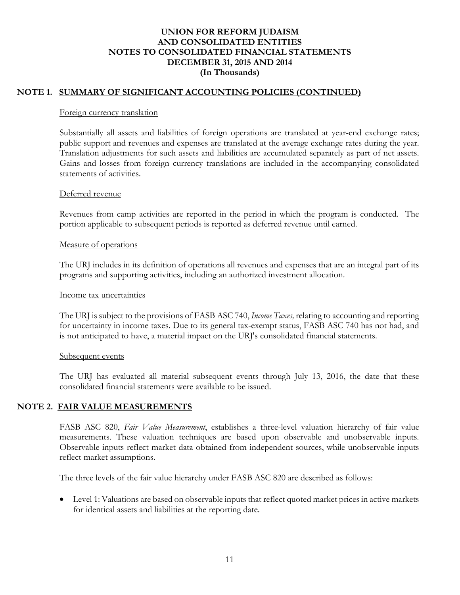# **NOTE 1. SUMMARY OF SIGNIFICANT ACCOUNTING POLICIES (CONTINUED)**

#### Foreign currency translation

Substantially all assets and liabilities of foreign operations are translated at year-end exchange rates; public support and revenues and expenses are translated at the average exchange rates during the year. Translation adjustments for such assets and liabilities are accumulated separately as part of net assets. Gains and losses from foreign currency translations are included in the accompanying consolidated statements of activities.

### Deferred revenue

Revenues from camp activities are reported in the period in which the program is conducted. The portion applicable to subsequent periods is reported as deferred revenue until earned.

### Measure of operations

The URJ includes in its definition of operations all revenues and expenses that are an integral part of its programs and supporting activities, including an authorized investment allocation.

### Income tax uncertainties

The URJ is subject to the provisions of FASB ASC 740, *Income Taxes,* relating to accounting and reporting for uncertainty in income taxes. Due to its general tax-exempt status, FASB ASC 740 has not had, and is not anticipated to have, a material impact on the URJ's consolidated financial statements.

### Subsequent events

The URJ has evaluated all material subsequent events through July 13, 2016, the date that these consolidated financial statements were available to be issued.

## **NOTE 2. FAIR VALUE MEASUREMENTS**

FASB ASC 820, *Fair Value Measurement*, establishes a three-level valuation hierarchy of fair value measurements. These valuation techniques are based upon observable and unobservable inputs. Observable inputs reflect market data obtained from independent sources, while unobservable inputs reflect market assumptions.

The three levels of the fair value hierarchy under FASB ASC 820 are described as follows:

 Level 1: Valuations are based on observable inputs that reflect quoted market prices in active markets for identical assets and liabilities at the reporting date.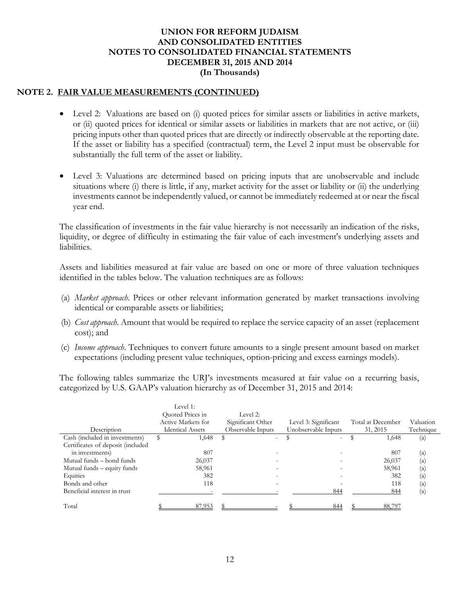### **NOTE 2. FAIR VALUE MEASUREMENTS (CONTINUED)**

- Level 2: Valuations are based on (i) quoted prices for similar assets or liabilities in active markets, or (ii) quoted prices for identical or similar assets or liabilities in markets that are not active, or (iii) pricing inputs other than quoted prices that are directly or indirectly observable at the reporting date. If the asset or liability has a specified (contractual) term, the Level 2 input must be observable for substantially the full term of the asset or liability.
- Level 3: Valuations are determined based on pricing inputs that are unobservable and include situations where (i) there is little, if any, market activity for the asset or liability or (ii) the underlying investments cannot be independently valued, or cannot be immediately redeemed at or near the fiscal year end.

The classification of investments in the fair value hierarchy is not necessarily an indication of the risks, liquidity, or degree of difficulty in estimating the fair value of each investment's underlying assets and liabilities.

Assets and liabilities measured at fair value are based on one or more of three valuation techniques identified in the tables below. The valuation techniques are as follows:

- (a) *Market approach*. Prices or other relevant information generated by market transactions involving identical or comparable assets or liabilities;
- (b) *Cost approach*. Amount that would be required to replace the service capacity of an asset (replacement cost); and
- (c) *Income approach*. Techniques to convert future amounts to a single present amount based on market expectations (including present value techniques, option-pricing and excess earnings models).

The following tables summarize the URJ's investments measured at fair value on a recurring basis, categorized by U.S. GAAP's valuation hierarchy as of December 31, 2015 and 2014:

|                                   | Level 1:                |                   |                          |                   |                          |
|-----------------------------------|-------------------------|-------------------|--------------------------|-------------------|--------------------------|
|                                   | Quoted Prices in        | Level 2:          |                          |                   |                          |
|                                   | Active Markets for      | Significant Other | Level 3: Significant     | Total at December | Valuation                |
| Description                       | <b>Identical Assets</b> | Observable Inputs | Unobservable Inputs      | 31, 2015          | Technique                |
| Cash (included in investments)    | 1,648                   | $\sim$            | $\overline{\phantom{0}}$ | 1,648             | (a)                      |
| Certificates of deposit (included |                         |                   |                          |                   |                          |
| in investments)                   | 807                     |                   |                          | 807               | $\left( \text{a}\right)$ |
| Mutual funds – bond funds         | 26,037                  |                   |                          | 26,037            | (a)                      |
| Mutual funds – equity funds       | 58,961                  |                   |                          | 58,961            | (a)                      |
| Equities                          | 382                     |                   |                          | 382               | $\left( \text{a}\right)$ |
| Bonds and other                   | 118                     |                   |                          | 118               | $\left( \text{a}\right)$ |
| Beneficial interest in trust      |                         |                   | 844                      | 844               | (a)                      |
| Total                             | 87,953                  |                   | 844                      | 88,797            |                          |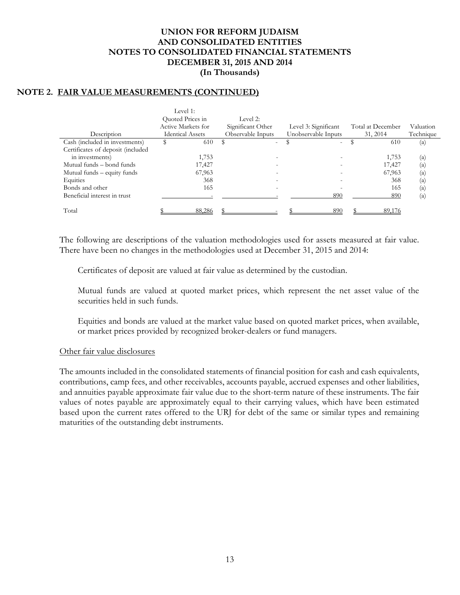### **NOTE 2. FAIR VALUE MEASUREMENTS (CONTINUED)**

| Level 1:                |                   |                          |                   |                          |
|-------------------------|-------------------|--------------------------|-------------------|--------------------------|
| Quoted Prices in        | Level 2:          |                          |                   |                          |
| Active Markets for      | Significant Other | Level 3: Significant     | Total at December | Valuation                |
| <b>Identical Assets</b> | Observable Inputs | Unobservable Inputs      | 31, 2014          | Technique                |
| \$<br>610               | $\sim$            | $\overline{\phantom{0}}$ | 610               | (a)                      |
|                         |                   |                          |                   |                          |
| 1,753                   |                   |                          | 1,753             | (a)                      |
| 17,427                  |                   |                          | 17,427            | $\left( \text{a}\right)$ |
| 67,963                  |                   |                          | 67,963            | $\left( \text{a}\right)$ |
| 368                     |                   |                          | 368               | $\left( \text{a}\right)$ |
| 165                     |                   |                          | 165               | (a)                      |
|                         |                   | 890                      | 890               | (a)                      |
|                         |                   |                          |                   |                          |
| 88,286                  |                   | 890                      | 89.176            |                          |
|                         |                   |                          |                   |                          |

The following are descriptions of the valuation methodologies used for assets measured at fair value. There have been no changes in the methodologies used at December 31, 2015 and 2014:

Certificates of deposit are valued at fair value as determined by the custodian.

Mutual funds are valued at quoted market prices, which represent the net asset value of the securities held in such funds.

Equities and bonds are valued at the market value based on quoted market prices, when available, or market prices provided by recognized broker-dealers or fund managers.

### Other fair value disclosures

The amounts included in the consolidated statements of financial position for cash and cash equivalents, contributions, camp fees, and other receivables, accounts payable, accrued expenses and other liabilities, and annuities payable approximate fair value due to the short-term nature of these instruments. The fair values of notes payable are approximately equal to their carrying values, which have been estimated based upon the current rates offered to the URJ for debt of the same or similar types and remaining maturities of the outstanding debt instruments.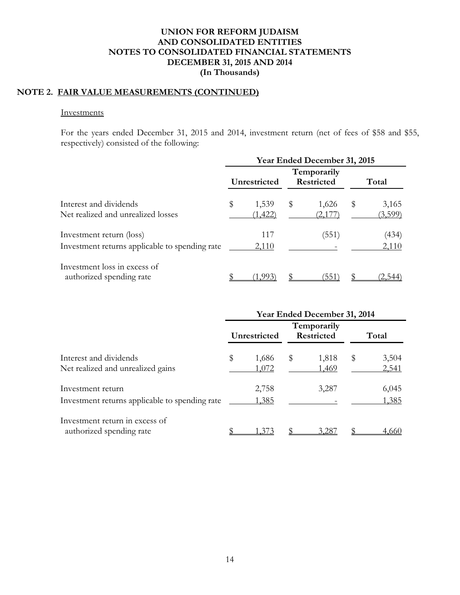# **NOTE 2. FAIR VALUE MEASUREMENTS (CONTINUED)**

#### Investments

For the years ended December 31, 2015 and 2014, investment return (net of fees of \$58 and \$55, respectively) consisted of the following:

|                                                                            | Year Ended December 31, 2015 |                   |    |                           |   |                  |  |
|----------------------------------------------------------------------------|------------------------------|-------------------|----|---------------------------|---|------------------|--|
|                                                                            |                              | Unrestricted      |    | Temporarily<br>Restricted |   | Total            |  |
| Interest and dividends<br>Net realized and unrealized losses               | \$                           | 1,539<br>(1, 422) | \$ | 1,626                     | S | 3,165<br>(3,599) |  |
| Investment return (loss)<br>Investment returns applicable to spending rate |                              | 117<br>2,110      |    | (551)                     |   | (434)<br>2,110   |  |
| Investment loss in excess of<br>authorized spending rate                   |                              |                   |    | 351                       |   |                  |  |

|                                                                     | Year Ended December 31, 2014 |                |                      |                |   |                |  |
|---------------------------------------------------------------------|------------------------------|----------------|----------------------|----------------|---|----------------|--|
|                                                                     |                              | Unrestricted   | Temporarily<br>Total |                |   |                |  |
| Interest and dividends<br>Net realized and unrealized gains         | \$                           | 1,686<br>1,072 | \$                   | 1,818<br>1,469 | S | 3,504<br>2,541 |  |
| Investment return<br>Investment returns applicable to spending rate |                              | 2,758<br>1,385 |                      | 3,287          |   | 6,045<br>1,385 |  |
| Investment return in excess of<br>authorized spending rate          |                              | -37            |                      | 3.28           |   | 4.660          |  |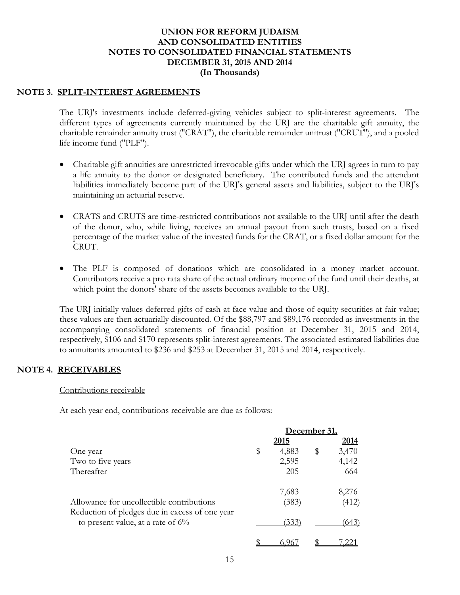### **NOTE 3. SPLIT-INTEREST AGREEMENTS**

The URJ's investments include deferred-giving vehicles subject to split-interest agreements. The different types of agreements currently maintained by the URJ are the charitable gift annuity, the charitable remainder annuity trust ("CRAT"), the charitable remainder unitrust ("CRUT"), and a pooled life income fund ("PLF").

- Charitable gift annuities are unrestricted irrevocable gifts under which the URJ agrees in turn to pay a life annuity to the donor or designated beneficiary. The contributed funds and the attendant liabilities immediately become part of the URJ's general assets and liabilities, subject to the URJ's maintaining an actuarial reserve.
- CRATS and CRUTS are time-restricted contributions not available to the URJ until after the death of the donor, who, while living, receives an annual payout from such trusts, based on a fixed percentage of the market value of the invested funds for the CRAT, or a fixed dollar amount for the CRUT.
- The PLF is composed of donations which are consolidated in a money market account. Contributors receive a pro rata share of the actual ordinary income of the fund until their deaths, at which point the donors' share of the assets becomes available to the URJ.

The URJ initially values deferred gifts of cash at face value and those of equity securities at fair value; these values are then actuarially discounted. Of the \$88,797 and \$89,176 recorded as investments in the accompanying consolidated statements of financial position at December 31, 2015 and 2014, respectively, \$106 and \$170 represents split-interest agreements. The associated estimated liabilities due to annuitants amounted to \$236 and \$253 at December 31, 2015 and 2014, respectively.

### **NOTE 4. RECEIVABLES**

#### Contributions receivable

At each year end, contributions receivable are due as follows:

|                                                                                        | December 31. |             |
|----------------------------------------------------------------------------------------|--------------|-------------|
|                                                                                        | <u> 2015</u> | <u>2014</u> |
| One year                                                                               | \$<br>4,883  | \$<br>3,470 |
| Two to five years                                                                      | 2,595        | 4,142       |
| Thereafter                                                                             | 205          | 664         |
|                                                                                        | 7,683        | 8,276       |
| Allowance for uncollectible contributions                                              | (383)        | (412)       |
| Reduction of pledges due in excess of one year<br>to present value, at a rate of $6\%$ | (333)        | (643)       |
|                                                                                        |              |             |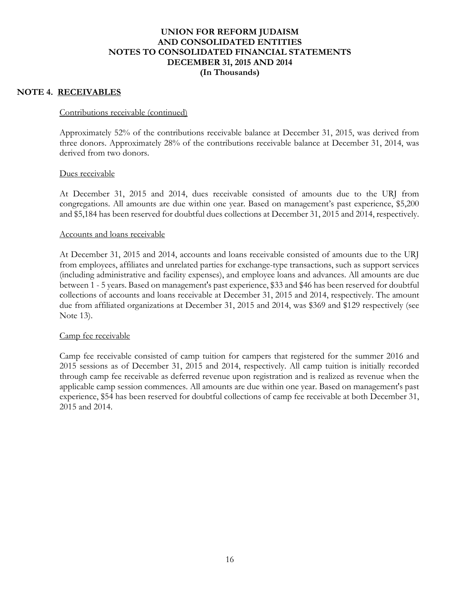### **NOTE 4. RECEIVABLES**

#### Contributions receivable (continued)

Approximately 52% of the contributions receivable balance at December 31, 2015, was derived from three donors. Approximately 28% of the contributions receivable balance at December 31, 2014, was derived from two donors.

### Dues receivable

At December 31, 2015 and 2014, dues receivable consisted of amounts due to the URJ from congregations. All amounts are due within one year. Based on management's past experience, \$5,200 and \$5,184 has been reserved for doubtful dues collections at December 31, 2015 and 2014, respectively.

#### Accounts and loans receivable

At December 31, 2015 and 2014, accounts and loans receivable consisted of amounts due to the URJ from employees, affiliates and unrelated parties for exchange-type transactions, such as support services (including administrative and facility expenses), and employee loans and advances. All amounts are due between 1 - 5 years. Based on management's past experience, \$33 and \$46 has been reserved for doubtful collections of accounts and loans receivable at December 31, 2015 and 2014, respectively. The amount due from affiliated organizations at December 31, 2015 and 2014, was \$369 and \$129 respectively (see Note 13).

#### Camp fee receivable

Camp fee receivable consisted of camp tuition for campers that registered for the summer 2016 and 2015 sessions as of December 31, 2015 and 2014, respectively. All camp tuition is initially recorded through camp fee receivable as deferred revenue upon registration and is realized as revenue when the applicable camp session commences. All amounts are due within one year. Based on management's past experience, \$54 has been reserved for doubtful collections of camp fee receivable at both December 31, 2015 and 2014.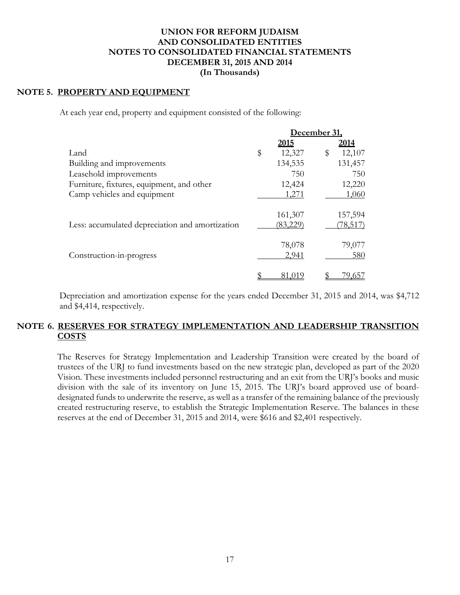### **NOTE 5. PROPERTY AND EQUIPMENT**

At each year end, property and equipment consisted of the following:

|                                                 |              | December 31, |
|-------------------------------------------------|--------------|--------------|
|                                                 | <u>2015</u>  | 2014         |
| Land                                            | \$<br>12,327 | 12,107<br>\$ |
| Building and improvements                       | 134,535      | 131,457      |
| Leasehold improvements                          | 750          | 750          |
| Furniture, fixtures, equipment, and other       | 12,424       | 12,220       |
| Camp vehicles and equipment                     | 1,271        | 1,060        |
|                                                 | 161,307      | 157,594      |
| Less: accumulated depreciation and amortization | (83,229)     | 78,517       |
|                                                 | 78,078       | 79,077       |
| Construction-in-progress                        | 2,941        | 580          |
|                                                 |              |              |

Depreciation and amortization expense for the years ended December 31, 2015 and 2014, was \$4,712 and \$4,414, respectively.

## **NOTE 6. RESERVES FOR STRATEGY IMPLEMENTATION AND LEADERSHIP TRANSITION COSTS**

The Reserves for Strategy Implementation and Leadership Transition were created by the board of trustees of the URJ to fund investments based on the new strategic plan, developed as part of the 2020 Vision. These investments included personnel restructuring and an exit from the URJ's books and music division with the sale of its inventory on June 15, 2015. The URJ's board approved use of boarddesignated funds to underwrite the reserve, as well as a transfer of the remaining balance of the previously created restructuring reserve, to establish the Strategic Implementation Reserve. The balances in these reserves at the end of December 31, 2015 and 2014, were \$616 and \$2,401 respectively.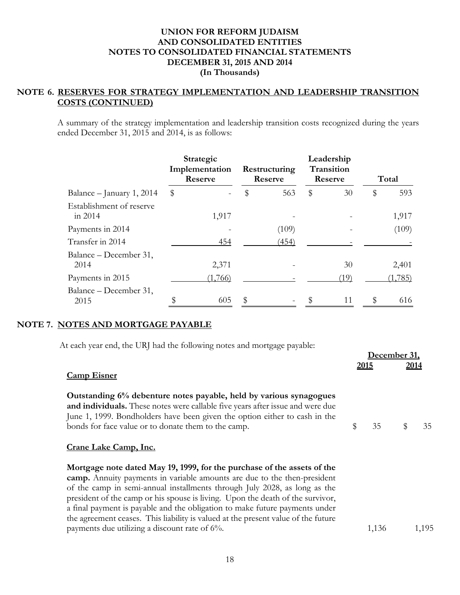# **NOTE 6. RESERVES FOR STRATEGY IMPLEMENTATION AND LEADERSHIP TRANSITION COSTS (CONTINUED)**

A summary of the strategy implementation and leadership transition costs recognized during the years ended December 31, 2015 and 2014, is as follows:

|                                       | Strategic<br>Implementation<br>Reserve | Restructuring<br>Reserve |       | Leadership<br>Transition<br>Reserve |      |    | Total   |  |
|---------------------------------------|----------------------------------------|--------------------------|-------|-------------------------------------|------|----|---------|--|
| Balance – January 1, 2014             | \$                                     | \$                       | 563   | \$                                  | 30   | \$ | 593     |  |
| Establishment of reserve<br>in $2014$ | 1,917                                  |                          |       |                                     |      |    | 1,917   |  |
| Payments in 2014                      |                                        |                          | (109) |                                     |      |    | (109)   |  |
| Transfer in 2014                      | 454                                    |                          | (454) |                                     |      |    |         |  |
| Balance – December 31,<br>2014        | 2,371                                  |                          |       |                                     | 30   |    | 2,401   |  |
| Payments in 2015                      | (1,766)                                |                          |       |                                     | (19) |    | (1,785) |  |
| Balance – December 31,<br>2015        | \$<br>605                              | \$                       |       |                                     | 11   | \$ | 616     |  |

## **NOTE 7. NOTES AND MORTGAGE PAYABLE**

At each year end, the URJ had the following notes and mortgage payable:

|                                                                                                                                                                                                                                                                                                                                                                                                                                                                                        | <u>December 31.</u> |               |      |       |
|----------------------------------------------------------------------------------------------------------------------------------------------------------------------------------------------------------------------------------------------------------------------------------------------------------------------------------------------------------------------------------------------------------------------------------------------------------------------------------------|---------------------|---------------|------|-------|
| <b>Camp Eisner</b>                                                                                                                                                                                                                                                                                                                                                                                                                                                                     |                     | <u> 2015 </u> | 2014 |       |
| Outstanding 6% debenture notes payable, held by various synagogues<br>and individuals. These notes were callable five years after issue and were due<br>June 1, 1999. Bondholders have been given the option either to cash in the<br>bonds for face value or to donate them to the camp.                                                                                                                                                                                              | \$                  | 35            | \$   | 35    |
| Crane Lake Camp, Inc.                                                                                                                                                                                                                                                                                                                                                                                                                                                                  |                     |               |      |       |
| Mortgage note dated May 19, 1999, for the purchase of the assets of the<br>camp. Annuity payments in variable amounts are due to the then-president<br>of the camp in semi-annual installments through July 2028, as long as the<br>president of the camp or his spouse is living. Upon the death of the survivor,<br>a final payment is payable and the obligation to make future payments under<br>the agreement ceases. This liability is valued at the present value of the future |                     |               |      |       |
| payments due utilizing a discount rate of $6\%$ .                                                                                                                                                                                                                                                                                                                                                                                                                                      |                     | 1,136         |      | 1,195 |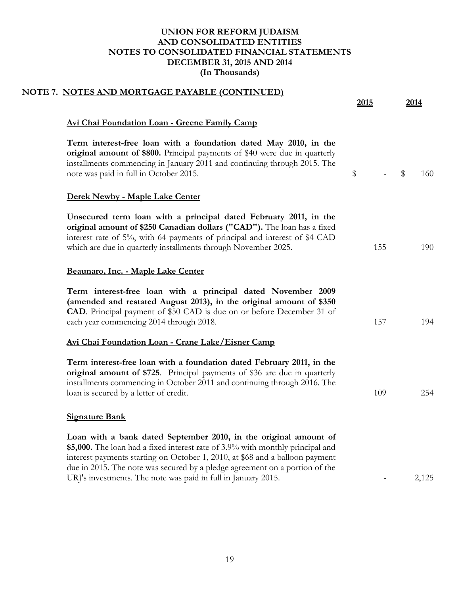| NOTE 7. NOTES AND MORTGAGE PAYABLE (CONTINUED)                                                                                                                                                                                                                                                                                                                                     | 2015 | 2014      |
|------------------------------------------------------------------------------------------------------------------------------------------------------------------------------------------------------------------------------------------------------------------------------------------------------------------------------------------------------------------------------------|------|-----------|
| Avi Chai Foundation Loan - Greene Family Camp                                                                                                                                                                                                                                                                                                                                      |      |           |
| Term interest-free loan with a foundation dated May 2010, in the<br>original amount of \$800. Principal payments of \$40 were due in quarterly<br>installments commencing in January 2011 and continuing through 2015. The<br>note was paid in full in October 2015.                                                                                                               | \$   | 160<br>\$ |
| Derek Newby - Maple Lake Center                                                                                                                                                                                                                                                                                                                                                    |      |           |
| Unsecured term loan with a principal dated February 2011, in the<br>original amount of \$250 Canadian dollars ("CAD"). The loan has a fixed<br>interest rate of 5%, with 64 payments of principal and interest of \$4 CAD<br>which are due in quarterly installments through November 2025.                                                                                        | 155  | 190       |
| Beaunaro, Inc. - Maple Lake Center                                                                                                                                                                                                                                                                                                                                                 |      |           |
| Term interest-free loan with a principal dated November 2009<br>(amended and restated August 2013), in the original amount of \$350<br><b>CAD</b> . Principal payment of \$50 CAD is due on or before December 31 of<br>each year commencing 2014 through 2018.                                                                                                                    | 157  | 194       |
| Avi Chai Foundation Loan - Crane Lake/Eisner Camp                                                                                                                                                                                                                                                                                                                                  |      |           |
| Term interest-free loan with a foundation dated February 2011, in the<br>original amount of \$725. Principal payments of \$36 are due in quarterly<br>installments commencing in October 2011 and continuing through 2016. The<br>loan is secured by a letter of credit.                                                                                                           | 109  | 254       |
| <b>Signature Bank</b>                                                                                                                                                                                                                                                                                                                                                              |      |           |
| Loan with a bank dated September 2010, in the original amount of<br>\$5,000. The loan had a fixed interest rate of 3.9% with monthly principal and<br>interest payments starting on October 1, 2010, at \$68 and a balloon payment<br>due in 2015. The note was secured by a pledge agreement on a portion of the<br>URJ's investments. The note was paid in full in January 2015. |      | 2,125     |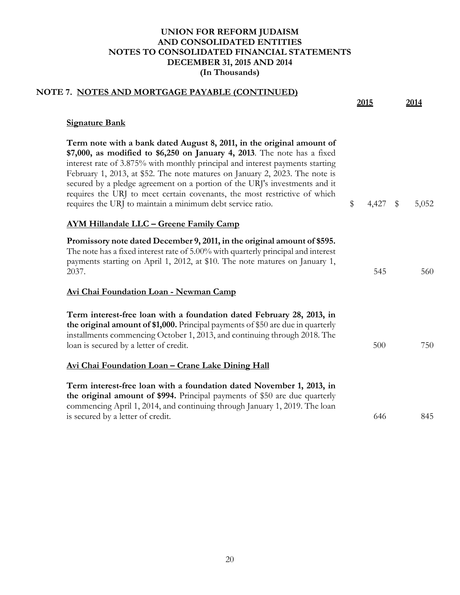| NOTE 7. NOTES AND MORTGAGE PAYABLE (CONTINUED)                                                                                                                                                                                                                                                                                                                                                                                                                                                                                             | 2015             | 2014  |
|--------------------------------------------------------------------------------------------------------------------------------------------------------------------------------------------------------------------------------------------------------------------------------------------------------------------------------------------------------------------------------------------------------------------------------------------------------------------------------------------------------------------------------------------|------------------|-------|
| <b>Signature Bank</b>                                                                                                                                                                                                                                                                                                                                                                                                                                                                                                                      |                  |       |
| Term note with a bank dated August 8, 2011, in the original amount of<br>\$7,000, as modified to \$6,250 on January 4, 2013. The note has a fixed<br>interest rate of 3.875% with monthly principal and interest payments starting<br>February 1, 2013, at \$52. The note matures on January 2, 2023. The note is<br>secured by a pledge agreement on a portion of the URJ's investments and it<br>requires the URJ to meet certain covenants, the most restrictive of which<br>requires the URJ to maintain a minimum debt service ratio. | \$<br>$4,427$ \$ | 5,052 |
| AYM Hillandale LLC - Greene Family Camp                                                                                                                                                                                                                                                                                                                                                                                                                                                                                                    |                  |       |
| Promissory note dated December 9, 2011, in the original amount of \$595.<br>The note has a fixed interest rate of 5.00% with quarterly principal and interest<br>payments starting on April 1, 2012, at \$10. The note matures on January 1,<br>2037.                                                                                                                                                                                                                                                                                      | 545              | 560   |
| Avi Chai Foundation Loan - Newman Camp                                                                                                                                                                                                                                                                                                                                                                                                                                                                                                     |                  |       |
| Term interest-free loan with a foundation dated February 28, 2013, in<br>the original amount of \$1,000. Principal payments of \$50 are due in quarterly<br>installments commencing October 1, 2013, and continuing through 2018. The<br>loan is secured by a letter of credit.                                                                                                                                                                                                                                                            | 500              | 750   |
| <u> Avi Chai Foundation Loan - Crane Lake Dining Hall</u>                                                                                                                                                                                                                                                                                                                                                                                                                                                                                  |                  |       |
| Term interest-free loan with a foundation dated November 1, 2013, in<br>the original amount of \$994. Principal payments of \$50 are due quarterly<br>commencing April 1, 2014, and continuing through January 1, 2019. The loan<br>is secured by a letter of credit.                                                                                                                                                                                                                                                                      | 646              | 845   |
|                                                                                                                                                                                                                                                                                                                                                                                                                                                                                                                                            |                  |       |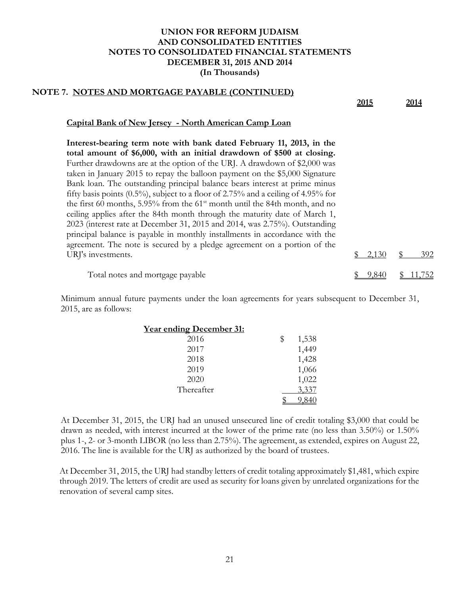# **NOTE 7. NOTES AND MORTGAGE PAYABLE (CONTINUED)**

| 392                   |
|-----------------------|
| $\frac{1}{2}$ , 2,130 |

Minimum annual future payments under the loan agreements for years subsequent to December 31, 2015, are as follows:

| <u>Year ending December 31:</u> |             |
|---------------------------------|-------------|
| 2016                            | \$<br>1,538 |
| 2017                            | 1,449       |
| 2018                            | 1,428       |
| 2019                            | 1,066       |
| 2020                            | 1,022       |
| Thereafter                      | 3,337       |
|                                 |             |

At December 31, 2015, the URJ had an unused unsecured line of credit totaling \$3,000 that could be drawn as needed, with interest incurred at the lower of the prime rate (no less than 3.50%) or 1.50% plus 1-, 2- or 3-month LIBOR (no less than 2.75%). The agreement, as extended, expires on August 22, 2016. The line is available for the URJ as authorized by the board of trustees.

At December 31, 2015, the URJ had standby letters of credit totaling approximately \$1,481, which expire through 2019. The letters of credit are used as security for loans given by unrelated organizations for the renovation of several camp sites.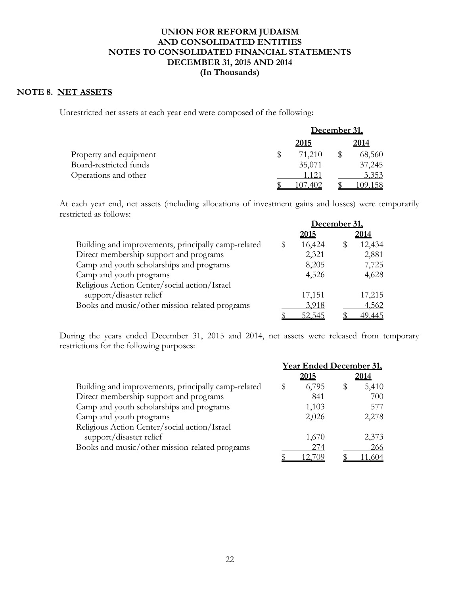### **NOTE 8. NET ASSETS**

Unrestricted net assets at each year end were composed of the following:

|                        | December 31, |        |      |        |  |
|------------------------|--------------|--------|------|--------|--|
|                        |              |        | 2014 |        |  |
| Property and equipment |              | 71,210 |      | 68,560 |  |
| Board-restricted funds |              | 35,071 |      | 37,245 |  |
| Operations and other   |              | 1,121  |      | 3,353  |  |
|                        |              |        |      |        |  |

At each year end, net assets (including allocations of investment gains and losses) were temporarily restricted as follows:

|                                                     |   | December 31.  |  |             |
|-----------------------------------------------------|---|---------------|--|-------------|
|                                                     |   | <u> 2015 </u> |  | <u>2014</u> |
| Building and improvements, principally camp-related | S | 16,424        |  | 12,434      |
| Direct membership support and programs              |   | 2,321         |  | 2,881       |
| Camp and youth scholarships and programs            |   | 8,205         |  | 7,725       |
| Camp and youth programs                             |   | 4,526         |  | 4,628       |
| Religious Action Center/social action/Israel        |   |               |  |             |
| support/disaster relief                             |   | 17,151        |  | 17,215      |
| Books and music/other mission-related programs      |   | 3,918         |  | 4,562       |
|                                                     |   | 52.54.        |  | 49.445      |

During the years ended December 31, 2015 and 2014, net assets were released from temporary restrictions for the following purposes:

|                                                     | <b>Year Ended December 31,</b> |       |
|-----------------------------------------------------|--------------------------------|-------|
|                                                     | <u>2015</u>                    | 2014  |
| Building and improvements, principally camp-related | \$<br>6,795                    | 5,410 |
| Direct membership support and programs              | 841                            | 700   |
| Camp and youth scholarships and programs            | 1,103                          | 577   |
| Camp and youth programs                             | 2,026                          | 2,278 |
| Religious Action Center/social action/Israel        |                                |       |
| support/disaster relief                             | 1,670                          | 2,373 |
| Books and music/other mission-related programs      | 274                            | 266   |
|                                                     |                                |       |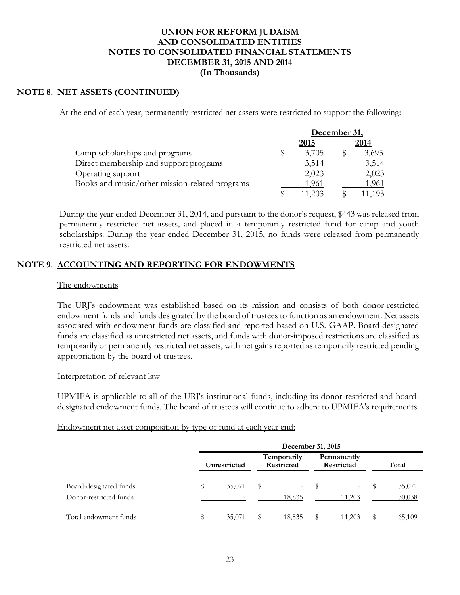### **NOTE 8. NET ASSETS (CONTINUED)**

At the end of each year, permanently restricted net assets were restricted to support the following:

|                                                |  | December 31. |  |       |
|------------------------------------------------|--|--------------|--|-------|
|                                                |  | <u>2015</u>  |  | 2014  |
| Camp scholarships and programs                 |  | 3,705        |  | 3,695 |
| Direct membership and support programs         |  | 3,514        |  | 3,514 |
| Operating support                              |  | 2,023        |  | 2,023 |
| Books and music/other mission-related programs |  | 1,961        |  | 1,961 |
|                                                |  |              |  |       |

During the year ended December 31, 2014, and pursuant to the donor's request, \$443 was released from permanently restricted net assets, and placed in a temporarily restricted fund for camp and youth scholarships. During the year ended December 31, 2015, no funds were released from permanently restricted net assets.

## **NOTE 9. ACCOUNTING AND REPORTING FOR ENDOWMENTS**

#### The endowments

The URJ's endowment was established based on its mission and consists of both donor-restricted endowment funds and funds designated by the board of trustees to function as an endowment. Net assets associated with endowment funds are classified and reported based on U.S. GAAP. Board-designated funds are classified as unrestricted net assets, and funds with donor-imposed restrictions are classified as temporarily or permanently restricted net assets, with net gains reported as temporarily restricted pending appropriation by the board of trustees.

### Interpretation of relevant law

UPMIFA is applicable to all of the URJ's institutional funds, including its donor-restricted and boarddesignated endowment funds. The board of trustees will continue to adhere to UPMIFA's requirements.

Endowment net asset composition by type of fund at each year end:

|                                                  |              | December 31, 2015 |                                  |                                    |                                  |                                    |       |                  |  |  |  |
|--------------------------------------------------|--------------|-------------------|----------------------------------|------------------------------------|----------------------------------|------------------------------------|-------|------------------|--|--|--|
|                                                  | Unrestricted |                   | Temporarily<br><b>Restricted</b> |                                    | Permanently<br><b>Restricted</b> |                                    | Total |                  |  |  |  |
| Board-designated funds<br>Donor-restricted funds |              | 35,071            | S                                | $\overline{\phantom{a}}$<br>18,835 |                                  | $\overline{\phantom{m}}$<br>11,203 |       | 35,071<br>30,038 |  |  |  |
| Total endowment funds                            |              | 35,071            |                                  | 18,835                             |                                  | 11.203                             |       | 65,109           |  |  |  |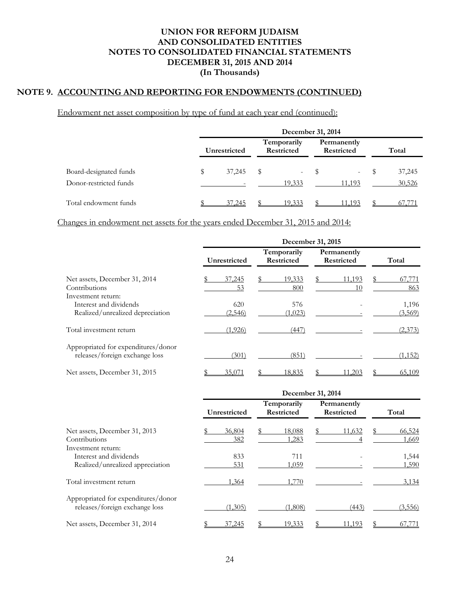# **NOTE 9. ACCOUNTING AND REPORTING FOR ENDOWMENTS (CONTINUED)**

Endowment net asset composition by type of fund at each year end (continued):

|                        | December 31, 2014 |        |                           |            |                           |            |       |        |  |  |
|------------------------|-------------------|--------|---------------------------|------------|---------------------------|------------|-------|--------|--|--|
|                        | Unrestricted      |        | Temporarily<br>Restricted |            | Permanently<br>Restricted |            | Total |        |  |  |
| Board-designated funds |                   | 37,245 | \$                        | $\sim 100$ |                           | $\sim 100$ |       | 37,245 |  |  |
| Donor-restricted funds |                   |        |                           | 19,333     |                           | 11,193     |       | 30,526 |  |  |
| Total endowment funds  |                   | 37.245 |                           | 19.333     |                           | 11 193     |       |        |  |  |

Changes in endowment net assets for the years ended December 31, 2015 and 2014:

|                                                                       | December 31, 2015 |                |  |                                  |  |                                  |  |                  |  |
|-----------------------------------------------------------------------|-------------------|----------------|--|----------------------------------|--|----------------------------------|--|------------------|--|
|                                                                       |                   | Unrestricted   |  | Temporarily<br><b>Restricted</b> |  | Permanently<br><b>Restricted</b> |  | Total            |  |
| Net assets, December 31, 2014<br>Contributions<br>Investment return:  |                   | 37,245<br>53   |  | 19,333<br>800                    |  | 11,193<br>10                     |  | 67,771<br>863    |  |
| Interest and dividends<br>Realized/unrealized depreciation            |                   | 620<br>(2,546) |  | 576<br>(1,023)                   |  |                                  |  | 1,196<br>(3,569) |  |
| Total investment return                                               |                   | (1,926)        |  | (447)                            |  |                                  |  | (2,373)          |  |
| Appropriated for expenditures/donor<br>releases/foreign exchange loss |                   | (301)          |  | (851)                            |  |                                  |  | (1, 152)         |  |
| Net assets, December 31, 2015                                         |                   | 35,071         |  | 18,835                           |  | 11.203                           |  | 65,109           |  |

|                                                                       | December 31, 2014 |               |                                  |                 |                                  |        |  |                 |  |
|-----------------------------------------------------------------------|-------------------|---------------|----------------------------------|-----------------|----------------------------------|--------|--|-----------------|--|
|                                                                       | Unrestricted      |               | Temporarily<br><b>Restricted</b> |                 | Permanently<br><b>Restricted</b> |        |  | Total           |  |
| Net assets, December 31, 2013<br>Contributions<br>Investment return:  |                   | 36,804<br>382 |                                  | 18,088<br>1,283 |                                  | 11,632 |  | 66,524<br>1,669 |  |
| Interest and dividends<br>Realized/unrealized appreciation            |                   | 833<br>531    |                                  | 711<br>1,059    |                                  |        |  | 1,544<br>1,590  |  |
| Total investment return                                               |                   | 1,364         |                                  | 1,770           |                                  |        |  | 3,134           |  |
| Appropriated for expenditures/donor<br>releases/foreign exchange loss |                   | (1,305)       |                                  | (1,808)         |                                  | (443)  |  | (3,556)         |  |
| Net assets, December 31, 2014                                         |                   | 37,245        |                                  | 19.333          |                                  | 11.193 |  | 67,771          |  |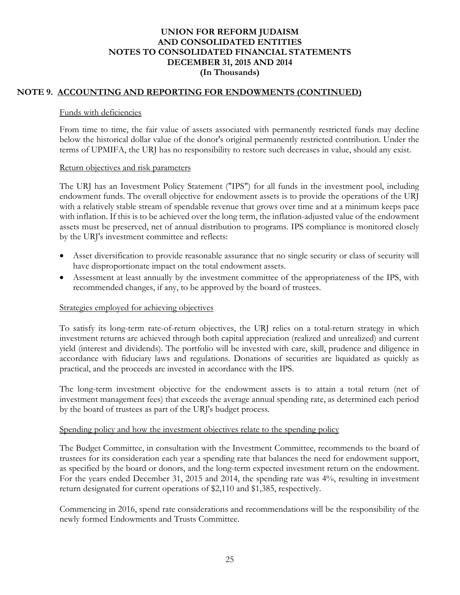# **NOTE 9. ACCOUNTING AND REPORTING FOR ENDOWMENTS (CONTINUED)**

### Funds with deficiencies

From time to time, the fair value of assets associated with permanently restricted funds may decline below the historical dollar value of the donor's original permanently restricted contribution. Under the terms of UPMIFA, the URJ has no responsibility to restore such decreases in value, should any exist.

### Return objectives and risk parameters

The URJ has an Investment Policy Statement ("IPS") for all funds in the investment pool, including endowment funds. The overall objective for endowment assets is to provide the operations of the URJ with a relatively stable stream of spendable revenue that grows over time and at a minimum keeps pace with inflation. If this is to be achieved over the long term, the inflation-adjusted value of the endowment assets must be preserved, net of annual distribution to programs. IPS compliance is monitored closely by the URJ's investment committee and reflects:

- Asset diversification to provide reasonable assurance that no single security or class of security will have disproportionate impact on the total endowment assets.
- Assessment at least annually by the investment committee of the appropriateness of the IPS, with recommended changes, if any, to be approved by the board of trustees.

## Strategies employed for achieving objectives

To satisfy its long-term rate-of-return objectives, the URJ relies on a total-return strategy in which investment returns are achieved through both capital appreciation (realized and unrealized) and current yield (interest and dividends). The portfolio will be invested with care, skill, prudence and diligence in accordance with fiduciary laws and regulations. Donations of securities are liquidated as quickly as practical, and the proceeds are invested in accordance with the IPS.

The long-term investment objective for the endowment assets is to attain a total return (net of investment management fees) that exceeds the average annual spending rate, as determined each period by the board of trustees as part of the URJ's budget process.

## Spending policy and how the investment objectives relate to the spending policy

The Budget Committee, in consultation with the Investment Committee, recommends to the board of trustees for its consideration each year a spending rate that balances the need for endowment support, as specified by the board or donors, and the long-term expected investment return on the endowment. For the years ended December 31, 2015 and 2014, the spending rate was 4%, resulting in investment return designated for current operations of \$2,110 and \$1,385, respectively.

Commencing in 2016, spend rate considerations and recommendations will be the responsibility of the newly formed Endowments and Trusts Committee.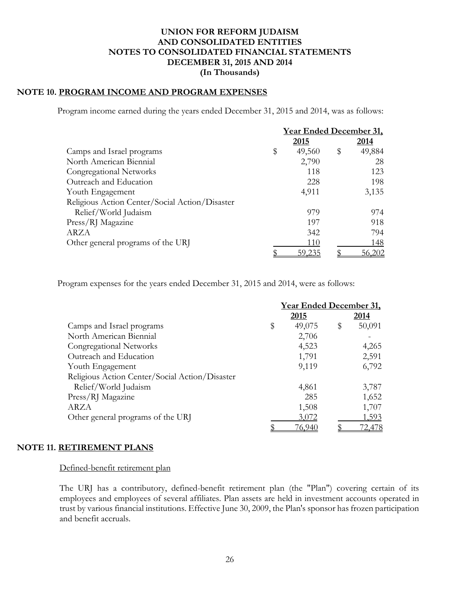# **NOTE 10. PROGRAM INCOME AND PROGRAM EXPENSES**

Program income earned during the years ended December 31, 2015 and 2014, was as follows:

|                                                | <b>Year Ended December 31,</b> |        |    |               |
|------------------------------------------------|--------------------------------|--------|----|---------------|
|                                                |                                | 2015   |    | 2014          |
| Camps and Israel programs                      | \$                             | 49,560 | \$ | 49,884        |
| North American Biennial                        |                                | 2,790  |    | 28            |
| Congregational Networks                        |                                | 118    |    | 123           |
| Outreach and Education                         |                                | 228    |    | 198           |
| Youth Engagement                               |                                | 4,911  |    | 3,135         |
| Religious Action Center/Social Action/Disaster |                                |        |    |               |
| Relief/World Judaism                           |                                | 979    |    | 974           |
| Press/RJ Magazine                              |                                | 197    |    | 918           |
| ARZA                                           |                                | 342    |    | 794           |
| Other general programs of the URJ              |                                | 110    |    | 148           |
|                                                |                                | 59.235 |    | <u>56,202</u> |

Program expenses for the years ended December 31, 2015 and 2014, were as follows:

|                                                | <b>Year Ended December 31,</b> |               |    |               |
|------------------------------------------------|--------------------------------|---------------|----|---------------|
|                                                |                                | 2015          |    | 2014          |
| Camps and Israel programs                      | \$                             | 49,075        | \$ | 50,091        |
| North American Biennial                        |                                | 2,706         |    |               |
| Congregational Networks                        |                                | 4,523         |    | 4,265         |
| Outreach and Education                         |                                | 1,791         |    | 2,591         |
| Youth Engagement                               |                                | 9,119         |    | 6,792         |
| Religious Action Center/Social Action/Disaster |                                |               |    |               |
| Relief/World Judaism                           |                                | 4,861         |    | 3,787         |
| Press/RJ Magazine                              |                                | 285           |    | 1,652         |
| ARZA                                           |                                | 1,508         |    | 1,707         |
| Other general programs of the URJ              |                                | 3,072         |    | 1,593         |
|                                                |                                | <u>76,940</u> |    | <u>72,478</u> |

### **NOTE 11. RETIREMENT PLANS**

### Defined-benefit retirement plan

The URJ has a contributory, defined-benefit retirement plan (the "Plan") covering certain of its employees and employees of several affiliates. Plan assets are held in investment accounts operated in trust by various financial institutions. Effective June 30, 2009, the Plan's sponsor has frozen participation and benefit accruals.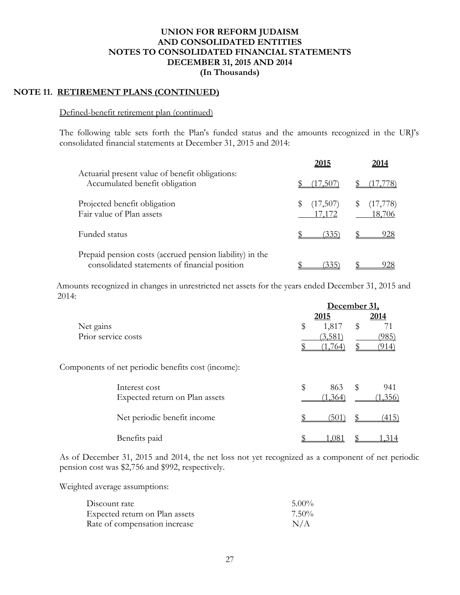# **NOTE 11. RETIREMENT PLANS (CONTINUED)**

#### Defined-benefit retirement plan (continued)

The following table sets forth the Plan's funded status and the amounts recognized in the URJ's consolidated financial statements at December 31, 2015 and 2014:

|                                                                                                           | 2015                         | 2014               |
|-----------------------------------------------------------------------------------------------------------|------------------------------|--------------------|
| Actuarial present value of benefit obligations:<br>Accumulated benefit obligation                         | .5C                          | $\frac{7}{8}$      |
| Projected benefit obligation<br>Fair value of Plan assets                                                 | $(17,507)$ \$<br>S<br>17,172 | (17,778)<br>18,706 |
| Funded status                                                                                             | 335'                         | 928                |
| Prepaid pension costs (accrued pension liability) in the<br>consolidated statements of financial position | 335                          | 28                 |

 Amounts recognized in changes in unrestricted net assets for the years ended December 31, 2015 and 2014:

|                     |                                                    | December 31, |    |         |
|---------------------|----------------------------------------------------|--------------|----|---------|
|                     |                                                    | 2015         |    | 2014    |
| Net gains           |                                                    | \$<br>1,817  | \$ | 71      |
| Prior service costs |                                                    | (3,581)      |    | (985)   |
|                     |                                                    | 764          |    | 14      |
|                     | Components of net periodic benefits cost (income): |              |    |         |
|                     | Interest cost                                      | \$<br>863    | \$ | 941     |
|                     | Expected return on Plan assets                     | (1, 364)     |    | (1,356) |
|                     | Net periodic benefit income                        | (501`        |    | (415)   |
|                     | Benefits paid                                      | .081         |    | .314    |

As of December 31, 2015 and 2014, the net loss not yet recognized as a component of net periodic pension cost was \$2,756 and \$992, respectively.

Weighted average assumptions:

| Discount rate                  | $5.00\%$ |
|--------------------------------|----------|
| Expected return on Plan assets | $7.50\%$ |
| Rate of compensation increase  | N/A      |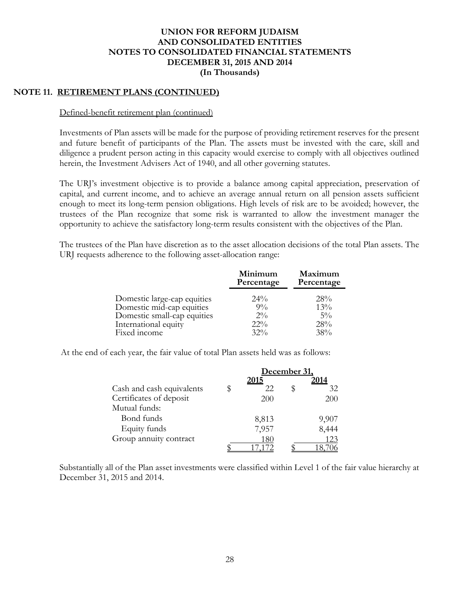## **NOTE 11. RETIREMENT PLANS (CONTINUED)**

#### Defined-benefit retirement plan (continued)

Investments of Plan assets will be made for the purpose of providing retirement reserves for the present and future benefit of participants of the Plan. The assets must be invested with the care, skill and diligence a prudent person acting in this capacity would exercise to comply with all objectives outlined herein, the Investment Advisers Act of 1940, and all other governing statutes.

The URJ's investment objective is to provide a balance among capital appreciation, preservation of capital, and current income, and to achieve an average annual return on all pension assets sufficient enough to meet its long-term pension obligations. High levels of risk are to be avoided; however, the trustees of the Plan recognize that some risk is warranted to allow the investment manager the opportunity to achieve the satisfactory long-term results consistent with the objectives of the Plan.

The trustees of the Plan have discretion as to the asset allocation decisions of the total Plan assets. The URJ requests adherence to the following asset-allocation range:

|                             | Minimum<br>Percentage | Maximum<br>Percentage |
|-----------------------------|-----------------------|-----------------------|
| Domestic large-cap equities | $24\%$                | 28%                   |
| Domestic mid-cap equities   | $9\%$                 | 13%                   |
| Domestic small-cap equities | $2\%$                 | $5\%$                 |
| International equity        | $22\%$                | 28%                   |
| Fixed income                | $32\%$                | 38%                   |

At the end of each year, the fair value of total Plan assets held was as follows:

|                           | December 31. |  |       |
|---------------------------|--------------|--|-------|
|                           | 2015         |  | 2014  |
| Cash and cash equivalents | 22           |  | 32    |
| Certificates of deposit   | 200          |  | 200   |
| Mutual funds:             |              |  |       |
| Bond funds                | 8,813        |  | 9,907 |
| Equity funds              | 7,957        |  | 8,444 |
| Group annuity contract    | 180          |  | 123   |
|                           |              |  |       |

Substantially all of the Plan asset investments were classified within Level 1 of the fair value hierarchy at December 31, 2015 and 2014.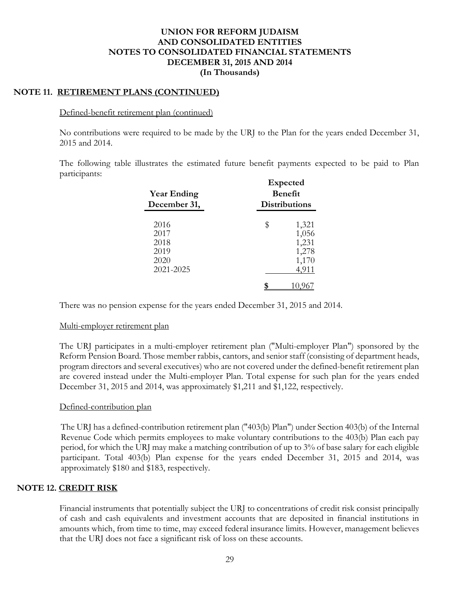# **NOTE 11. RETIREMENT PLANS (CONTINUED)**

### Defined-benefit retirement plan (continued)

No contributions were required to be made by the URJ to the Plan for the years ended December 31, 2015 and 2014.

The following table illustrates the estimated future benefit payments expected to be paid to Plan participants:

| <b>Year Ending</b><br>December 31,                | <b>Expected</b><br><b>Benefit</b><br><b>Distributions</b> |
|---------------------------------------------------|-----------------------------------------------------------|
| 2016<br>2017<br>2018<br>2019<br>2020<br>2021-2025 | \$<br>1,321<br>1,056<br>1,231<br>1,278<br>1,170<br>4,911  |

There was no pension expense for the years ended December 31, 2015 and 2014.

## Multi-employer retirement plan

The URJ participates in a multi-employer retirement plan ("Multi-employer Plan") sponsored by the Reform Pension Board. Those member rabbis, cantors, and senior staff (consisting of department heads, program directors and several executives) who are not covered under the defined-benefit retirement plan are covered instead under the Multi-employer Plan. Total expense for such plan for the years ended December 31, 2015 and 2014, was approximately \$1,211 and \$1,122, respectively.

## Defined-contribution plan

The URJ has a defined-contribution retirement plan ("403(b) Plan") under Section 403(b) of the Internal Revenue Code which permits employees to make voluntary contributions to the 403(b) Plan each pay period, for which the URJ may make a matching contribution of up to 3% of base salary for each eligible participant. Total 403(b) Plan expense for the years ended December 31, 2015 and 2014, was approximately \$180 and \$183, respectively.

# **NOTE 12. CREDIT RISK**

Financial instruments that potentially subject the URJ to concentrations of credit risk consist principally of cash and cash equivalents and investment accounts that are deposited in financial institutions in amounts which, from time to time, may exceed federal insurance limits. However, management believes that the URJ does not face a significant risk of loss on these accounts.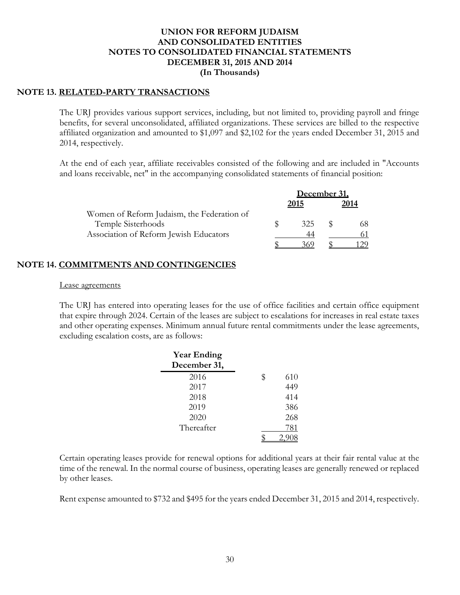### **NOTE 13. RELATED-PARTY TRANSACTIONS**

The URJ provides various support services, including, but not limited to, providing payroll and fringe benefits, for several unconsolidated, affiliated organizations. These services are billed to the respective affiliated organization and amounted to \$1,097 and \$2,102 for the years ended December 31, 2015 and 2014, respectively.

At the end of each year, affiliate receivables consisted of the following and are included in "Accounts and loans receivable, net" in the accompanying consolidated statements of financial position:

|                                            | December 31. |      |  |      |
|--------------------------------------------|--------------|------|--|------|
|                                            |              | 2015 |  | 2014 |
| Women of Reform Judaism, the Federation of |              |      |  |      |
| Temple Sisterhoods                         |              | 325  |  |      |
| Association of Reform Jewish Educators     |              |      |  |      |
|                                            |              |      |  |      |

### **NOTE 14. COMMITMENTS AND CONTINGENCIES**

#### Lease agreements

The URJ has entered into operating leases for the use of office facilities and certain office equipment that expire through 2024. Certain of the leases are subject to escalations for increases in real estate taxes and other operating expenses. Minimum annual future rental commitments under the lease agreements, excluding escalation costs, are as follows:

| <b>Year Ending</b><br>December 31, |           |
|------------------------------------|-----------|
| 2016                               | \$<br>610 |
| 2017                               | 449       |
| 2018                               | 414       |
| 2019                               | 386       |
| 2020                               | 268       |
| Thereafter                         | 781       |
|                                    |           |

Certain operating leases provide for renewal options for additional years at their fair rental value at the time of the renewal. In the normal course of business, operating leases are generally renewed or replaced by other leases.

Rent expense amounted to \$732 and \$495 for the years ended December 31, 2015 and 2014, respectively.